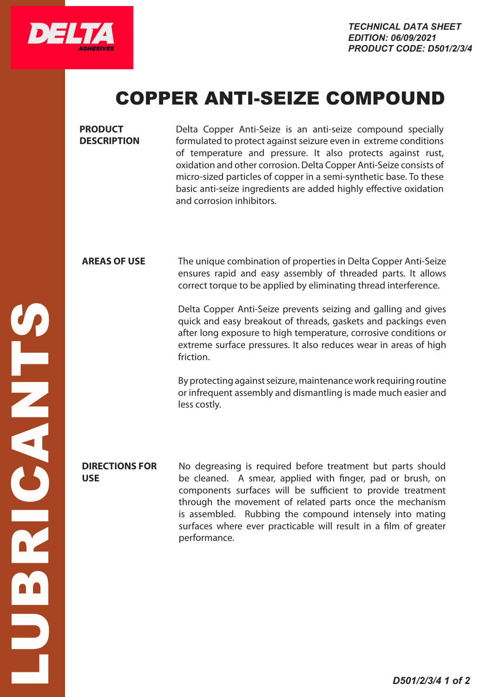

# COPPER ANTI-SEIZE COMPOUND

**PRODUCT DESCRIPTION** Delta Copper Anti-Seize is an anti-seize compound specially formulated to protect against seizure even in extreme conditions of temperature and pressure. It also protects against rust, oxidation and other corrosion. Delta Copper Anti-Seize consists of micro-sized particles of copper in a semi-synthetic base. To these basic anti-seize ingredients are added highly effective oxidation and corrosion inhibitors. **AREAS OF USE** The unique combination of properties in Delta Copper Anti-Seize ensures rapid and easy assembly of threaded parts. It allows correct torque to be applied by eliminating thread interference. Delta Copper Anti-Seize prevents seizing and galling and gives quick and easy breakout of threads, gaskets and packings even after long exposure to high temperature, corrosive conditions or extreme surface pressures. It also reduces wear in areas of high friction. By protecting against seizure, maintenance work requiring routine or infrequent assembly and dismantling is made much easier and less costly. **DIRECTIONS FOR USE** No degreasing is required before treatment but parts should be cleaned. A smear, applied with finger, pad or brush, on components surfaces will be sufficient to provide treatment through the movement of related parts once the mechanism is assembled. Rubbing the compound intensely into mating surfaces where ever practicable will result in a film of greater performance.